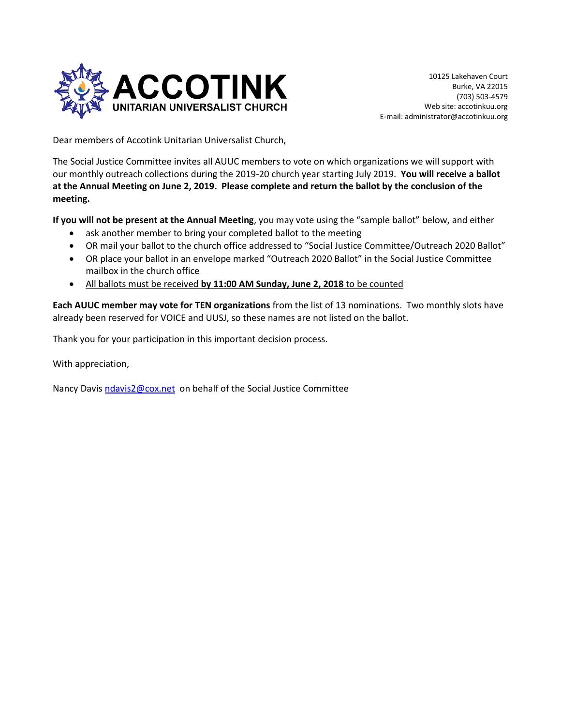

Dear members of Accotink Unitarian Universalist Church,

The Social Justice Committee invites all AUUC members to vote on which organizations we will support with our monthly outreach collections during the 2019-20 church year starting July 2019. **You will receive a ballot at the Annual Meeting on June 2, 2019. Please complete and return the ballot by the conclusion of the meeting.**

**If you will not be present at the Annual Meeting**, you may vote using the "sample ballot" below, and either

- ask another member to bring your completed ballot to the meeting
- OR mail your ballot to the church office addressed to "Social Justice Committee/Outreach 2020 Ballot"
- OR place your ballot in an envelope marked "Outreach 2020 Ballot" in the Social Justice Committee mailbox in the church office
- All ballots must be received **by 11:00 AM Sunday, June 2, 2018** to be counted

**Each AUUC member may vote for TEN organizations** from the list of 13 nominations. Two monthly slots have already been reserved for VOICE and UUSJ, so these names are not listed on the ballot.

Thank you for your participation in this important decision process.

With appreciation,

Nancy Davis [ndavis2@cox.net](mailto:ndavis2@cox.net) on behalf of the Social Justice Committee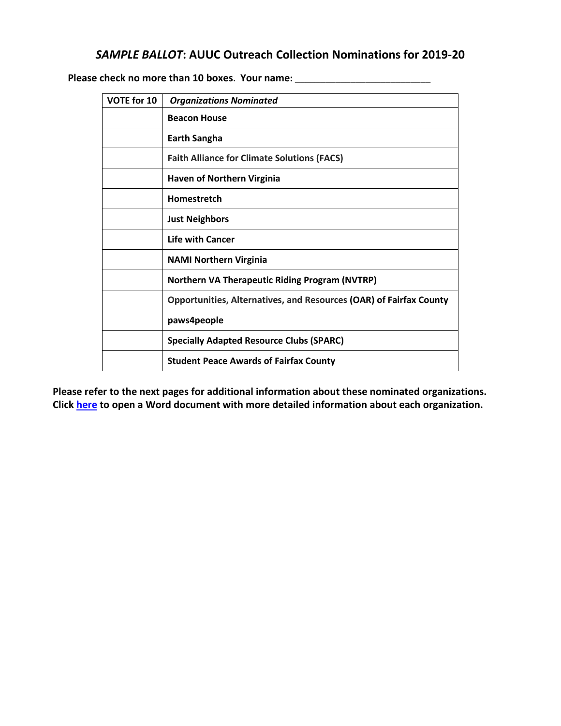## *SAMPLE BALLOT***: AUUC Outreach Collection Nominations for 2019-20**

 **Please check no more than 10 boxes**. **Your name:** \_\_\_\_\_\_\_\_\_\_\_\_\_\_\_\_\_\_\_\_\_\_\_\_\_\_\_

| VOTE for 10 | <b>Organizations Nominated</b>                                            |
|-------------|---------------------------------------------------------------------------|
|             | <b>Beacon House</b>                                                       |
|             | <b>Earth Sangha</b>                                                       |
|             | <b>Faith Alliance for Climate Solutions (FACS)</b>                        |
|             | <b>Haven of Northern Virginia</b>                                         |
|             | Homestretch                                                               |
|             | <b>Just Neighbors</b>                                                     |
|             | <b>Life with Cancer</b>                                                   |
|             | <b>NAMI Northern Virginia</b>                                             |
|             | <b>Northern VA Therapeutic Riding Program (NVTRP)</b>                     |
|             | <b>Opportunities, Alternatives, and Resources (OAR) of Fairfax County</b> |
|             | paws4people                                                               |
|             | <b>Specially Adapted Resource Clubs (SPARC)</b>                           |
|             | <b>Student Peace Awards of Fairfax County</b>                             |

**Please refer to the next pages for additional information about these nominated organizations. Click [here](https://accotinkuu.org/wp-content/uploads/2019/04/Outreach-Collection-Nominations-2019-2020.pdf) to open a Word document with more detailed information about each organization.**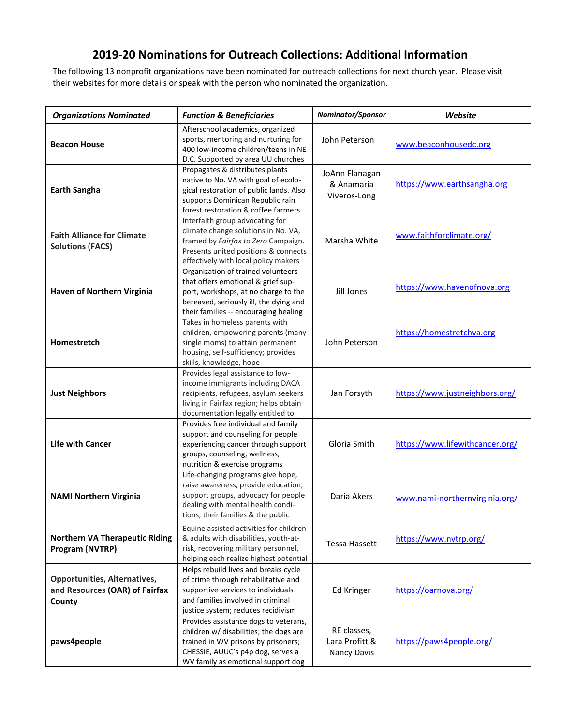## **2019-20 Nominations for Outreach Collections: Additional Information**

The following 13 nonprofit organizations have been nominated for outreach collections for next church year. Please visit their websites for more details or speak with the person who nominated the organization.

| <b>Organizations Nominated</b>                                                  | <b>Function &amp; Beneficiaries</b>                                                                                                                                                                 | Nominator/Sponsor                            | Website                         |
|---------------------------------------------------------------------------------|-----------------------------------------------------------------------------------------------------------------------------------------------------------------------------------------------------|----------------------------------------------|---------------------------------|
| <b>Beacon House</b>                                                             | Afterschool academics, organized<br>sports, mentoring and nurturing for<br>400 low-income children/teens in NE<br>D.C. Supported by area UU churches                                                | John Peterson                                | www.beaconhousedc.org           |
| <b>Earth Sangha</b>                                                             | Propagates & distributes plants<br>native to No. VA with goal of ecolo-<br>gical restoration of public lands. Also<br>supports Dominican Republic rain<br>forest restoration & coffee farmers       | JoAnn Flanagan<br>& Anamaria<br>Viveros-Long | https://www.earthsangha.org     |
| <b>Faith Alliance for Climate</b><br><b>Solutions (FACS)</b>                    | Interfaith group advocating for<br>climate change solutions in No. VA,<br>framed by Fairfax to Zero Campaign.<br>Presents united positions & connects<br>effectively with local policy makers       | Marsha White                                 | www.faithforclimate.org/        |
| Haven of Northern Virginia                                                      | Organization of trained volunteers<br>that offers emotional & grief sup-<br>port, workshops, at no charge to the<br>bereaved, seriously ill, the dying and<br>their families -- encouraging healing | Jill Jones                                   | https://www.havenofnova.org     |
| Homestretch                                                                     | Takes in homeless parents with<br>children, empowering parents (many<br>single moms) to attain permanent<br>housing, self-sufficiency; provides<br>skills, knowledge, hope                          | John Peterson                                | https://homestretchva.org       |
| <b>Just Neighbors</b>                                                           | Provides legal assistance to low-<br>income immigrants including DACA<br>recipients, refugees, asylum seekers<br>living in Fairfax region; helps obtain<br>documentation legally entitled to        | Jan Forsyth                                  | https://www.justneighbors.org/  |
| <b>Life with Cancer</b>                                                         | Provides free individual and family<br>support and counseling for people<br>experiencing cancer through support<br>groups, counseling, wellness,<br>nutrition & exercise programs                   | Gloria Smith                                 | https://www.lifewithcancer.org/ |
| <b>NAMI Northern Virginia</b>                                                   | Life-changing programs give hope,<br>raise awareness, provide education,<br>support groups, advocacy for people<br>dealing with mental health condi-<br>tions, their families & the public          | Daria Akers                                  | www.nami-northernvirginia.org/  |
| <b>Northern VA Therapeutic Riding</b><br>Program (NVTRP)                        | Equine assisted activities for children<br>& adults with disabilities, youth-at-<br>risk, recovering military personnel,<br>helping each realize highest potential                                  | Tessa Hassett                                | https://www.nvtrp.org/          |
| <b>Opportunities, Alternatives,</b><br>and Resources (OAR) of Fairfax<br>County | Helps rebuild lives and breaks cycle<br>of crime through rehabilitative and<br>supportive services to individuals<br>and families involved in criminal<br>justice system; reduces recidivism        | Ed Kringer                                   | https://oarnova.org/            |
| paws4people                                                                     | Provides assistance dogs to veterans,<br>children w/ disabilities; the dogs are<br>trained in WV prisons by prisoners;<br>CHESSIE, AUUC's p4p dog, serves a<br>WV family as emotional support dog   | RE classes,<br>Lara Profitt &<br>Nancy Davis | https://paws4people.org/        |